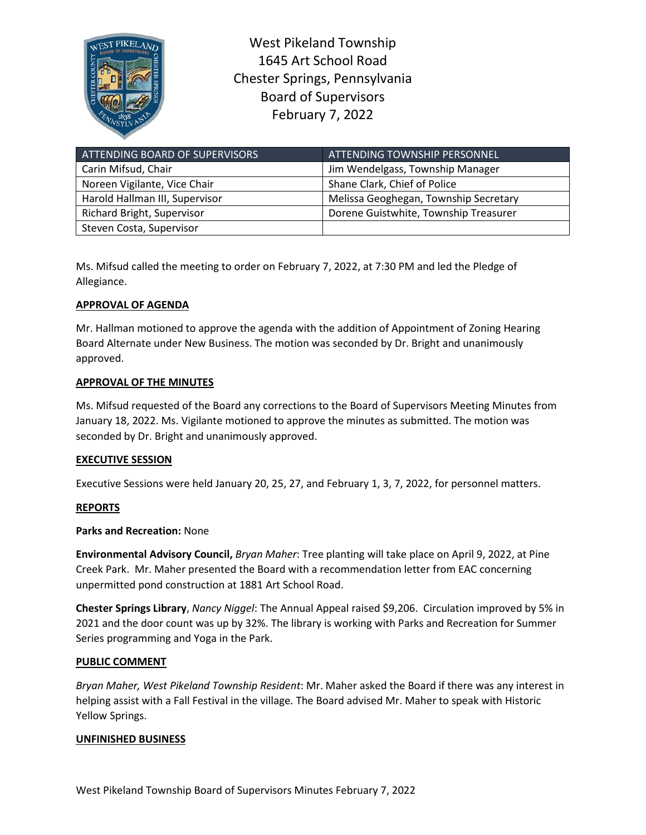

West Pikeland Township 1645 Art School Road Chester Springs, Pennsylvania Board of Supervisors February 7, 2022

| ATTENDING BOARD OF SUPERVISORS | <b>ATTENDING TOWNSHIP PERSONNEL</b>   |
|--------------------------------|---------------------------------------|
| Carin Mifsud, Chair            | Jim Wendelgass, Township Manager      |
| Noreen Vigilante, Vice Chair   | Shane Clark, Chief of Police          |
| Harold Hallman III, Supervisor | Melissa Geoghegan, Township Secretary |
| Richard Bright, Supervisor     | Dorene Guistwhite, Township Treasurer |
| Steven Costa, Supervisor       |                                       |

Ms. Mifsud called the meeting to order on February 7, 2022, at 7:30 PM and led the Pledge of Allegiance.

# **APPROVAL OF AGENDA**

Mr. Hallman motioned to approve the agenda with the addition of Appointment of Zoning Hearing Board Alternate under New Business. The motion was seconded by Dr. Bright and unanimously approved.

## **APPROVAL OF THE MINUTES**

Ms. Mifsud requested of the Board any corrections to the Board of Supervisors Meeting Minutes from January 18, 2022. Ms. Vigilante motioned to approve the minutes as submitted. The motion was seconded by Dr. Bright and unanimously approved.

### **EXECUTIVE SESSION**

Executive Sessions were held January 20, 25, 27, and February 1, 3, 7, 2022, for personnel matters.

# **REPORTS**

**Parks and Recreation:** None

**Environmental Advisory Council,** *Bryan Maher*: Tree planting will take place on April 9, 2022, at Pine Creek Park. Mr. Maher presented the Board with a recommendation letter from EAC concerning unpermitted pond construction at 1881 Art School Road.

**Chester Springs Library**, *Nancy Niggel*: The Annual Appeal raised \$9,206. Circulation improved by 5% in 2021 and the door count was up by 32%. The library is working with Parks and Recreation for Summer Series programming and Yoga in the Park.

### **PUBLIC COMMENT**

*Bryan Maher, West Pikeland Township Resident*: Mr. Maher asked the Board if there was any interest in helping assist with a Fall Festival in the village. The Board advised Mr. Maher to speak with Historic Yellow Springs.

### **UNFINISHED BUSINESS**